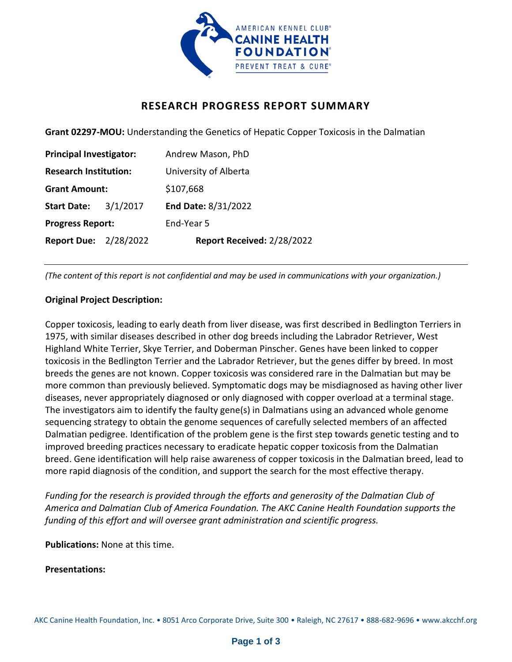

## **RESEARCH PROGRESS REPORT SUMMARY**

**Grant 02297-MOU:** Understanding the Genetics of Hepatic Copper Toxicosis in the Dalmatian

| <b>Principal Investigator:</b> |          | Andrew Mason, PhD          |
|--------------------------------|----------|----------------------------|
| <b>Research Institution:</b>   |          | University of Alberta      |
| <b>Grant Amount:</b>           |          | \$107,668                  |
| <b>Start Date:</b>             | 3/1/2017 | End Date: 8/31/2022        |
| <b>Progress Report:</b>        |          | End-Year 5                 |
| <b>Report Due: 2/28/2022</b>   |          | Report Received: 2/28/2022 |

*(The content of this report is not confidential and may be used in communications with your organization.)*

## **Original Project Description:**

Copper toxicosis, leading to early death from liver disease, was first described in Bedlington Terriers in 1975, with similar diseases described in other dog breeds including the Labrador Retriever, West Highland White Terrier, Skye Terrier, and Doberman Pinscher. Genes have been linked to copper toxicosis in the Bedlington Terrier and the Labrador Retriever, but the genes differ by breed. In most breeds the genes are not known. Copper toxicosis was considered rare in the Dalmatian but may be more common than previously believed. Symptomatic dogs may be misdiagnosed as having other liver diseases, never appropriately diagnosed or only diagnosed with copper overload at a terminal stage. The investigators aim to identify the faulty gene(s) in Dalmatians using an advanced whole genome sequencing strategy to obtain the genome sequences of carefully selected members of an affected Dalmatian pedigree. Identification of the problem gene is the first step towards genetic testing and to improved breeding practices necessary to eradicate hepatic copper toxicosis from the Dalmatian breed. Gene identification will help raise awareness of copper toxicosis in the Dalmatian breed, lead to more rapid diagnosis of the condition, and support the search for the most effective therapy.

*Funding for the research is provided through the efforts and generosity of the Dalmatian Club of America and Dalmatian Club of America Foundation. The AKC Canine Health Foundation supports the funding of this effort and will oversee grant administration and scientific progress.*

**Publications:** None at this time.

**Presentations:**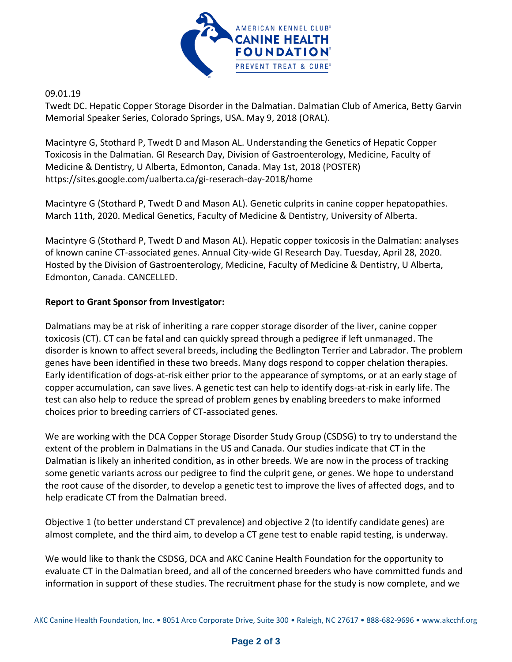

09.01.19

Twedt DC. Hepatic Copper Storage Disorder in the Dalmatian. Dalmatian Club of America, Betty Garvin Memorial Speaker Series, Colorado Springs, USA. May 9, 2018 (ORAL).

Macintyre G, Stothard P, Twedt D and Mason AL. Understanding the Genetics of Hepatic Copper Toxicosis in the Dalmatian. GI Research Day, Division of Gastroenterology, Medicine, Faculty of Medicine & Dentistry, U Alberta, Edmonton, Canada. May 1st, 2018 (POSTER) https://sites.google.com/ualberta.ca/gi-reserach-day-2018/home

Macintyre G (Stothard P, Twedt D and Mason AL). Genetic culprits in canine copper hepatopathies. March 11th, 2020. Medical Genetics, Faculty of Medicine & Dentistry, University of Alberta.

Macintyre G (Stothard P, Twedt D and Mason AL). Hepatic copper toxicosis in the Dalmatian: analyses of known canine CT-associated genes. Annual City-wide GI Research Day. Tuesday, April 28, 2020. Hosted by the Division of Gastroenterology, Medicine, Faculty of Medicine & Dentistry, U Alberta, Edmonton, Canada. CANCELLED.

## **Report to Grant Sponsor from Investigator:**

Dalmatians may be at risk of inheriting a rare copper storage disorder of the liver, canine copper toxicosis (CT). CT can be fatal and can quickly spread through a pedigree if left unmanaged. The disorder is known to affect several breeds, including the Bedlington Terrier and Labrador. The problem genes have been identified in these two breeds. Many dogs respond to copper chelation therapies. Early identification of dogs-at-risk either prior to the appearance of symptoms, or at an early stage of copper accumulation, can save lives. A genetic test can help to identify dogs-at-risk in early life. The test can also help to reduce the spread of problem genes by enabling breeders to make informed choices prior to breeding carriers of CT-associated genes.

We are working with the DCA Copper Storage Disorder Study Group (CSDSG) to try to understand the extent of the problem in Dalmatians in the US and Canada. Our studies indicate that CT in the Dalmatian is likely an inherited condition, as in other breeds. We are now in the process of tracking some genetic variants across our pedigree to find the culprit gene, or genes. We hope to understand the root cause of the disorder, to develop a genetic test to improve the lives of affected dogs, and to help eradicate CT from the Dalmatian breed.

Objective 1 (to better understand CT prevalence) and objective 2 (to identify candidate genes) are almost complete, and the third aim, to develop a CT gene test to enable rapid testing, is underway.

We would like to thank the CSDSG, DCA and AKC Canine Health Foundation for the opportunity to evaluate CT in the Dalmatian breed, and all of the concerned breeders who have committed funds and information in support of these studies. The recruitment phase for the study is now complete, and we